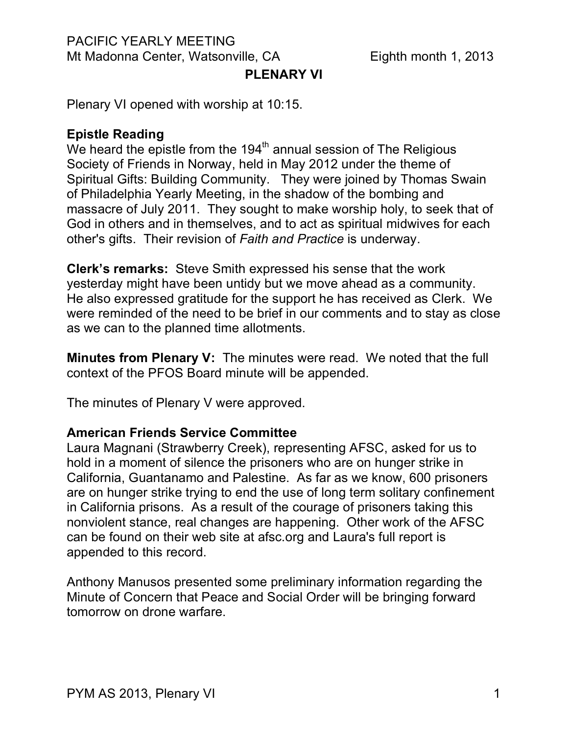## PACIFIC YEARLY MEETING Mt Madonna Center, Watsonville, CA Eighth month 1, 2013

# **PLENARY VI**

Plenary VI opened with worship at 10:15.

### **Epistle Reading**

We heard the epistle from the  $194<sup>th</sup>$  annual session of The Religious Society of Friends in Norway, held in May 2012 under the theme of Spiritual Gifts: Building Community. They were joined by Thomas Swain of Philadelphia Yearly Meeting, in the shadow of the bombing and massacre of July 2011. They sought to make worship holy, to seek that of God in others and in themselves, and to act as spiritual midwives for each other's gifts. Their revision of *Faith and Practice* is underway.

**Clerk's remarks:** Steve Smith expressed his sense that the work yesterday might have been untidy but we move ahead as a community. He also expressed gratitude for the support he has received as Clerk. We were reminded of the need to be brief in our comments and to stay as close as we can to the planned time allotments.

**Minutes from Plenary V:** The minutes were read. We noted that the full context of the PFOS Board minute will be appended.

The minutes of Plenary V were approved.

#### **American Friends Service Committee**

Laura Magnani (Strawberry Creek), representing AFSC, asked for us to hold in a moment of silence the prisoners who are on hunger strike in California, Guantanamo and Palestine. As far as we know, 600 prisoners are on hunger strike trying to end the use of long term solitary confinement in California prisons. As a result of the courage of prisoners taking this nonviolent stance, real changes are happening. Other work of the AFSC can be found on their web site at afsc.org and Laura's full report is appended to this record.

Anthony Manusos presented some preliminary information regarding the Minute of Concern that Peace and Social Order will be bringing forward tomorrow on drone warfare.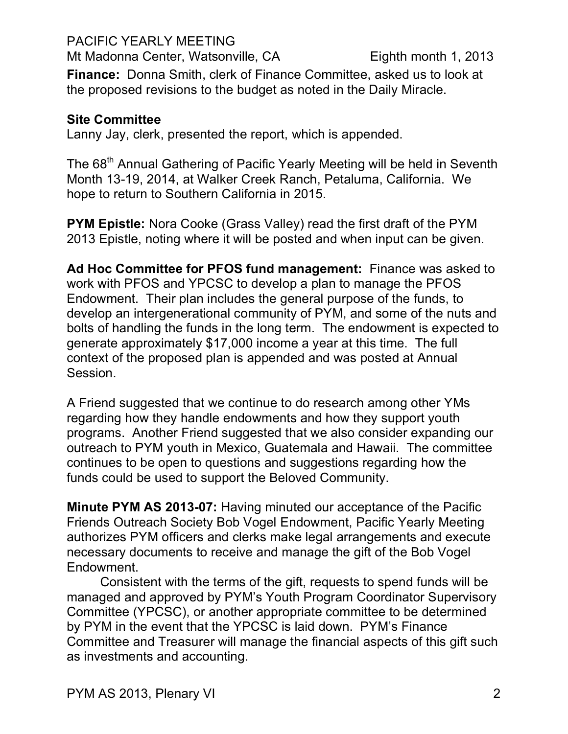PACIFIC YEARLY MEETING

Mt Madonna Center, Watsonville, CA Eighth month 1, 2013

**Finance:** Donna Smith, clerk of Finance Committee, asked us to look at the proposed revisions to the budget as noted in the Daily Miracle.

# **Site Committee**

Lanny Jay, clerk, presented the report, which is appended.

The 68<sup>th</sup> Annual Gathering of Pacific Yearly Meeting will be held in Seventh Month 13-19, 2014, at Walker Creek Ranch, Petaluma, California. We hope to return to Southern California in 2015.

**PYM Epistle:** Nora Cooke (Grass Valley) read the first draft of the PYM 2013 Epistle, noting where it will be posted and when input can be given.

**Ad Hoc Committee for PFOS fund management:** Finance was asked to work with PFOS and YPCSC to develop a plan to manage the PFOS Endowment. Their plan includes the general purpose of the funds, to develop an intergenerational community of PYM, and some of the nuts and bolts of handling the funds in the long term. The endowment is expected to generate approximately \$17,000 income a year at this time. The full context of the proposed plan is appended and was posted at Annual Session.

A Friend suggested that we continue to do research among other YMs regarding how they handle endowments and how they support youth programs. Another Friend suggested that we also consider expanding our outreach to PYM youth in Mexico, Guatemala and Hawaii. The committee continues to be open to questions and suggestions regarding how the funds could be used to support the Beloved Community.

**Minute PYM AS 2013-07:** Having minuted our acceptance of the Pacific Friends Outreach Society Bob Vogel Endowment, Pacific Yearly Meeting authorizes PYM officers and clerks make legal arrangements and execute necessary documents to receive and manage the gift of the Bob Vogel Endowment.

Consistent with the terms of the gift, requests to spend funds will be managed and approved by PYM's Youth Program Coordinator Supervisory Committee (YPCSC), or another appropriate committee to be determined by PYM in the event that the YPCSC is laid down. PYM's Finance Committee and Treasurer will manage the financial aspects of this gift such as investments and accounting.